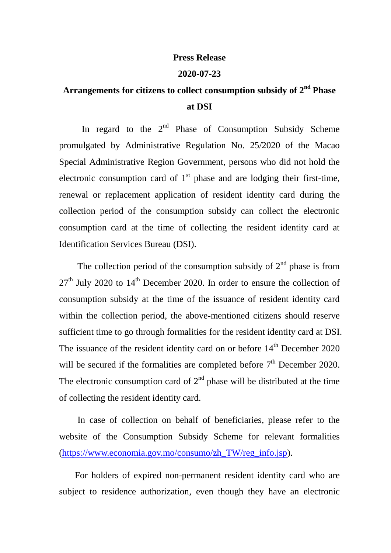## **Press Release**

## **2020-07-23**

## Arrangements for citizens to collect consumption subsidy of 2<sup>nd</sup> Phase **at DSI**

In regard to the  $2<sup>nd</sup>$  Phase of Consumption Subsidy Scheme promulgated by Administrative Regulation No. 25/2020 of the Macao Special Administrative Region Government, persons who did not hold the electronic consumption card of  $1<sup>st</sup>$  phase and are lodging their first-time, renewal or replacement application of resident identity card during the collection period of the consumption subsidy can collect the electronic consumption card at the time of collecting the resident identity card at Identification Services Bureau (DSI).

The collection period of the consumption subsidy of  $2<sup>nd</sup>$  phase is from  $27<sup>th</sup>$  July 2020 to  $14<sup>th</sup>$  December 2020. In order to ensure the collection of consumption subsidy at the time of the issuance of resident identity card within the collection period, the above-mentioned citizens should reserve sufficient time to go through formalities for the resident identity card at DSI. The issuance of the resident identity card on or before  $14<sup>th</sup>$  December 2020 will be secured if the formalities are completed before  $7<sup>th</sup>$  December 2020. The electronic consumption card of  $2<sup>nd</sup>$  phase will be distributed at the time of collecting the resident identity card.

 In case of collection on behalf of beneficiaries, please refer to the website of the Consumption Subsidy Scheme for relevant formalities [\(https://www.economia.gov.mo/consumo/zh\\_TW/reg\\_info.jsp\)](https://www.economia.gov.mo/consumo/zh_TW/reg_info.jsp).

For holders of expired non-permanent resident identity card who are subject to residence authorization, even though they have an electronic